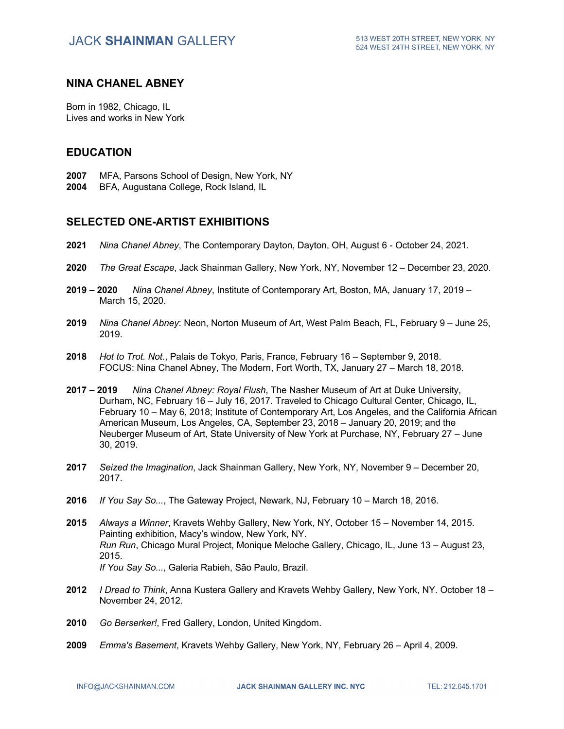#### **NINA CHANEL ABNEY**

Born in 1982, Chicago, IL Lives and works in New York

### **EDUCATION**

- **2007** MFA, Parsons School of Design, New York, NY
- **2004** BFA, Augustana College, Rock Island, IL

### **SELECTED ONE-ARTIST EXHIBITIONS**

- **2021** *Nina Chanel Abney*, The Contemporary Dayton, Dayton, OH, August 6 October 24, 2021.
- **2020** *The Great Escape*, Jack Shainman Gallery, New York, NY, November 12 December 23, 2020.
- **2019 – 2020** *Nina Chanel Abney*, Institute of Contemporary Art, Boston, MA, January 17, 2019 March 15, 2020.
- **2019** *Nina Chanel Abney*: Neon, Norton Museum of Art, West Palm Beach, FL, February 9 June 25, 2019.
- **2018** *Hot to Trot. Not.*, Palais de Tokyo, Paris, France, February 16 September 9, 2018. FOCUS: Nina Chanel Abney, The Modern, Fort Worth, TX, January 27 – March 18, 2018.
- **2017 – 2019** *Nina Chanel Abney: Royal Flush*, The Nasher Museum of Art at Duke University, Durham, NC, February 16 – July 16, 2017. Traveled to Chicago Cultural Center, Chicago, IL, February 10 – May 6, 2018; Institute of Contemporary Art, Los Angeles, and the California African American Museum, Los Angeles, CA, September 23, 2018 – January 20, 2019; and the Neuberger Museum of Art, State University of New York at Purchase, NY, February 27 – June 30, 2019.
- **2017** *Seized the Imagination*, Jack Shainman Gallery, New York, NY, November 9 December 20, 2017.
- **2016** *If You Say So...*, The Gateway Project, Newark, NJ, February 10 March 18, 2016.
- **2015** *Always a Winner*, Kravets Wehby Gallery, New York, NY, October 15 November 14, 2015. Painting exhibition, Macy's window, New York, NY. *Run Run*, Chicago Mural Project, Monique Meloche Gallery, Chicago, IL, June 13 – August 23, 2015. *If You Say So...*, Galeria Rabieh, São Paulo, Brazil.
- **2012** *I Dread to Think*, Anna Kustera Gallery and Kravets Wehby Gallery, New York, NY. October 18 November 24, 2012.
- **2010** *Go Berserker!*, Fred Gallery, London, United Kingdom.
- **2009** *Emma's Basement*, Kravets Wehby Gallery, New York, NY, February 26 April 4, 2009.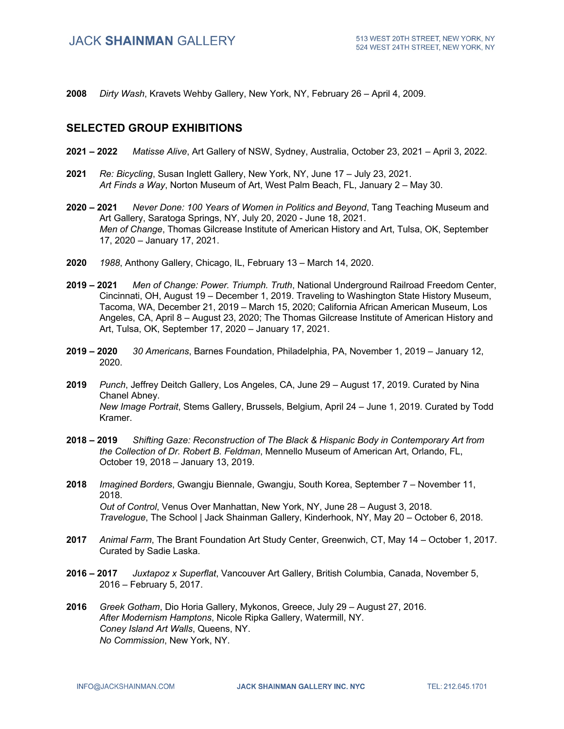**2008** *Dirty Wash*, Kravets Wehby Gallery, New York, NY, February 26 – April 4, 2009.

### **SELECTED GROUP EXHIBITIONS**

- **2021 – 2022** *Matisse Alive*, Art Gallery of NSW, Sydney, Australia, October 23, 2021 April 3, 2022.
- **2021** *Re: Bicycling*, Susan Inglett Gallery, New York, NY, June 17 July 23, 2021. *Art Finds a Way*, Norton Museum of Art, West Palm Beach, FL, January 2 – May 30.
- **2020 – 2021** *Never Done: 100 Years of Women in Politics and Beyond*, Tang Teaching Museum and Art Gallery, Saratoga Springs, NY, July 20, 2020 - June 18, 2021. *Men of Change*, Thomas Gilcrease Institute of American History and Art, Tulsa, OK, September 17, 2020 – January 17, 2021.
- **2020** *1988*, Anthony Gallery, Chicago, IL, February 13 March 14, 2020.
- **2019 – 2021** *Men of Change: Power. Triumph. Truth*, National Underground Railroad Freedom Center, Cincinnati, OH, August 19 – December 1, 2019. Traveling to Washington State History Museum, Tacoma, WA, December 21, 2019 – March 15, 2020; California African American Museum, Los Angeles, CA, April 8 – August 23, 2020; The Thomas Gilcrease Institute of American History and Art, Tulsa, OK, September 17, 2020 – January 17, 2021.
- **2019 – 2020** *30 Americans*, Barnes Foundation, Philadelphia, PA, November 1, 2019 January 12, 2020.
- **2019** *Punch*, Jeffrey Deitch Gallery, Los Angeles, CA, June 29 August 17, 2019. Curated by Nina Chanel Abney. *New Image Portrait*, Stems Gallery, Brussels, Belgium, April 24 – June 1, 2019. Curated by Todd Kramer.
- **2018 – 2019** *Shifting Gaze: Reconstruction of The Black & Hispanic Body in Contemporary Art from the Collection of Dr. Robert B. Feldman*, Mennello Museum of American Art, Orlando, FL, October 19, 2018 – January 13, 2019.
- **2018** *Imagined Borders*, Gwangju Biennale, Gwangju, South Korea, September 7 November 11, 2018. *Out of Control*, Venus Over Manhattan, New York, NY, June 28 – August 3, 2018. *Travelogue*, The School | Jack Shainman Gallery, Kinderhook, NY, May 20 – October 6, 2018.
- **2017** *Animal Farm*, The Brant Foundation Art Study Center, Greenwich, CT, May 14 October 1, 2017. Curated by Sadie Laska.
- **2016 – 2017** *Juxtapoz x Superflat*, Vancouver Art Gallery, British Columbia, Canada, November 5, 2016 – February 5, 2017.
- **2016** *Greek Gotham*, Dio Horia Gallery, Mykonos, Greece, July 29 August 27, 2016. *After Modernism Hamptons*, Nicole Ripka Gallery, Watermill, NY. *Coney Island Art Walls*, Queens, NY. *No Commission*, New York, NY.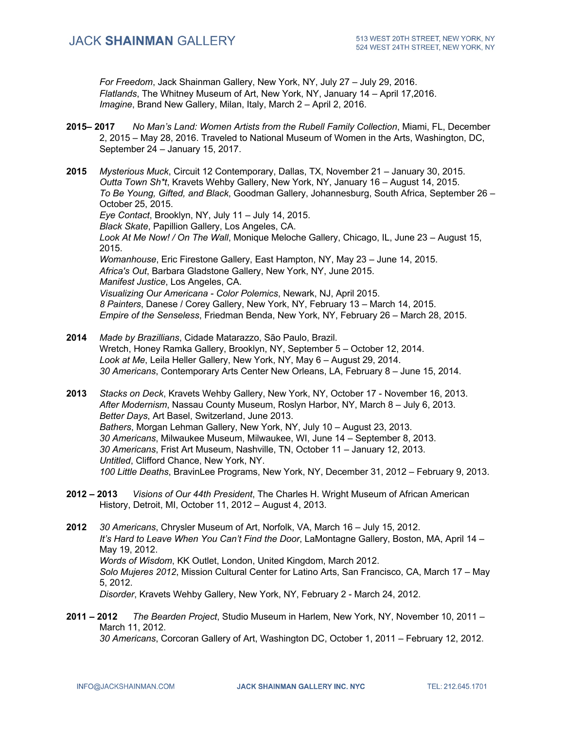*For Freedom*, Jack Shainman Gallery, New York, NY, July 27 – July 29, 2016. *Flatlands*, The Whitney Museum of Art, New York, NY, January 14 – April 17,2016. *Imagine*, Brand New Gallery, Milan, Italy, March 2 – April 2, 2016.

- **2015– 2017** *No Man's Land: Women Artists from the Rubell Family Collection*, Miami, FL, December 2, 2015 – May 28, 2016. Traveled to National Museum of Women in the Arts, Washington, DC, September 24 – January 15, 2017.
- **2015** *Mysterious Muck*, Circuit 12 Contemporary, Dallas, TX, November 21 January 30, 2015. *Outta Town Sh\*t*, Kravets Wehby Gallery, New York, NY, January 16 – August 14, 2015. *To Be Young, Gifted, and Black*, Goodman Gallery, Johannesburg, South Africa, September 26 – October 25, 2015. *Eye Contact*, Brooklyn, NY, July 11 – July 14, 2015. *Black Skate*, Papillion Gallery, Los Angeles, CA. *Look At Me Now! / On The Wall*, Monique Meloche Gallery, Chicago, IL, June 23 – August 15, 2015. *Womanhouse*, Eric Firestone Gallery, East Hampton, NY, May 23 – June 14, 2015. *Africa's Out*, Barbara Gladstone Gallery, New York, NY, June 2015. *Manifest Justice*, Los Angeles, CA. *Visualizing Our Americana - Color Polemics*, Newark, NJ, April 2015. *8 Painters*, Danese / Corey Gallery, New York, NY, February 13 – March 14, 2015. *Empire of the Senseless*, Friedman Benda, New York, NY, February 26 – March 28, 2015.
- **2014** *Made by Brazillians*, Cidade Matarazzo, São Paulo, Brazil. Wretch, Honey Ramka Gallery, Brooklyn, NY, September 5 – October 12, 2014. *Look at Me*, Leila Heller Gallery, New York, NY, May 6 – August 29, 2014. *30 Americans*, Contemporary Arts Center New Orleans, LA, February 8 – June 15, 2014.
- **2013** *Stacks on Deck*, Kravets Wehby Gallery, New York, NY, October 17 November 16, 2013. *After Modernism*, Nassau County Museum, Roslyn Harbor, NY, March 8 – July 6, 2013. *Better Days*, Art Basel, Switzerland, June 2013. *Bathers*, Morgan Lehman Gallery, New York, NY, July 10 – August 23, 2013. *30 Americans*, Milwaukee Museum, Milwaukee, WI, June 14 – September 8, 2013. *30 Americans*, Frist Art Museum, Nashville, TN, October 11 – January 12, 2013. *Untitled*, Clifford Chance, New York, NY. *100 Little Deaths*, BravinLee Programs, New York, NY, December 31, 2012 – February 9, 2013.
- **2012 – 2013** *Visions of Our 44th President*, The Charles H. Wright Museum of African American History, Detroit, MI, October 11, 2012 – August 4, 2013.
- **2012** *30 Americans*, Chrysler Museum of Art, Norfolk, VA, March 16 July 15, 2012. *It's Hard to Leave When You Can't Find the Door*, LaMontagne Gallery, Boston, MA, April 14 – May 19, 2012. *Words of Wisdom*, KK Outlet, London, United Kingdom, March 2012. *Solo Mujeres 2012*, Mission Cultural Center for Latino Arts, San Francisco, CA, March 17 – May 5, 2012. *Disorder*, Kravets Wehby Gallery, New York, NY, February 2 - March 24, 2012.
- **2011 – 2012** *The Bearden Project*, Studio Museum in Harlem, New York, NY, November 10, 2011 March 11, 2012. *30 Americans*, Corcoran Gallery of Art, Washington DC, October 1, 2011 – February 12, 2012.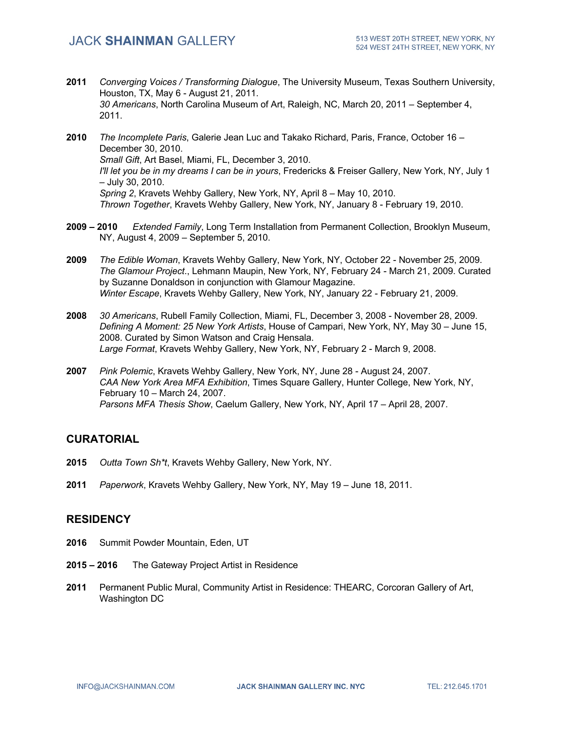- **2011** *Converging Voices / Transforming Dialogue*, The University Museum, Texas Southern University, Houston, TX, May 6 - August 21, 2011. *30 Americans*, North Carolina Museum of Art, Raleigh, NC, March 20, 2011 – September 4, 2011.
- **2010** *The Incomplete Paris*, Galerie Jean Luc and Takako Richard, Paris, France, October 16 December 30, 2010. *Small Gift*, Art Basel, Miami, FL, December 3, 2010. *I'll let you be in my dreams I can be in yours*, Fredericks & Freiser Gallery, New York, NY, July 1 – July 30, 2010. *Spring 2*, Kravets Wehby Gallery, New York, NY, April 8 – May 10, 2010. *Thrown Together*, Kravets Wehby Gallery, New York, NY, January 8 - February 19, 2010.
- **2009 – 2010** *Extended Family*, Long Term Installation from Permanent Collection, Brooklyn Museum, NY, August 4, 2009 – September 5, 2010.
- **2009** *The Edible Woman*, Kravets Wehby Gallery, New York, NY, October 22 November 25, 2009. *The Glamour Project*., Lehmann Maupin, New York, NY, February 24 - March 21, 2009. Curated by Suzanne Donaldson in conjunction with Glamour Magazine. *Winter Escape*, Kravets Wehby Gallery, New York, NY, January 22 - February 21, 2009.
- **2008** *30 Americans*, Rubell Family Collection, Miami, FL, December 3, 2008 November 28, 2009. *Defining A Moment: 25 New York Artists*, House of Campari, New York, NY, May 30 – June 15, 2008. Curated by Simon Watson and Craig Hensala. *Large Format*, Kravets Wehby Gallery, New York, NY, February 2 - March 9, 2008.
- **2007** *Pink Polemic*, Kravets Wehby Gallery, New York, NY, June 28 August 24, 2007. *CAA New York Area MFA Exhibition*, Times Square Gallery, Hunter College, New York, NY, February 10 – March 24, 2007. *Parsons MFA Thesis Show*, Caelum Gallery, New York, NY, April 17 – April 28, 2007.

## **CURATORIAL**

- **2015** *Outta Town Sh\*t*, Kravets Wehby Gallery, New York, NY.
- **2011** *Paperwork*, Kravets Wehby Gallery, New York, NY, May 19 June 18, 2011.

#### **RESIDENCY**

- **2016** Summit Powder Mountain, Eden, UT
- **2015 – 2016** The Gateway Project Artist in Residence
- **2011** Permanent Public Mural, Community Artist in Residence: THEARC, Corcoran Gallery of Art, Washington DC